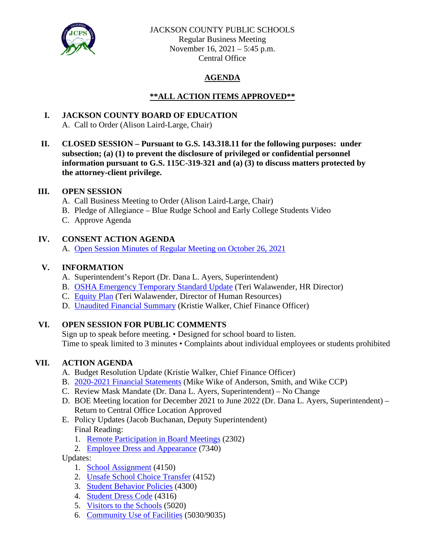

#### JACKSON COUNTY PUBLIC SCHOOLS

Regular Business Meeting November 16, 2021 – 5:45 p.m. Central Office

## **AGENDA**

## **\*\*ALL ACTION ITEMS APPROVED\*\***

# **I. JACKSON COUNTY BOARD OF EDUCATION**

- A. Call to Order (Alison Laird-Large, Chair)
- **II. CLOSED SESSION – Pursuant to G.S. 143.318.11 for the following purposes: under subsection; (a) (1) to prevent the disclosure of privileged or confidential personnel information pursuant to G.S. 115C-319-321 and (a) (3) to discuss matters protected by the attorney-client privilege.**

#### **III. OPEN SESSION**

- A. Call Business Meeting to Order (Alison Laird-Large, Chair)
- B. Pledge of Allegiance Blue Rudge School and Early College Students Video
- C. Approve Agenda

### **IV. CONSENT ACTION AGENDA**

A. [Open Session Minutes of Regular Meeting on October 26, 2021](https://jcpsmail-my.sharepoint.com/:b:/g/personal/cfields_jcpsmail_org/EaB0WvXVbKFDvgv4Pnk_3ZIBfGhkiTIB44_Ml_7Bg56ocg?e=D4PRPw)

### **V. INFORMATION**

- A. Superintendent's Report (Dr. Dana L. Ayers, Superintendent)
- B. [OSHA Emergency Temporary Standard Update](https://jcpsmail-my.sharepoint.com/:b:/g/personal/cfields_jcpsmail_org/EdV2Fb1DXRVKsl06X_83lecB2iWKbYInQn9RwtVnfT-ukw?e=9clm3k) (Teri Walawender, HR Director)
- C. [Equity Plan](https://jcpsmail-my.sharepoint.com/:b:/g/personal/cfields_jcpsmail_org/EXIXTLFWVL9HmAwgY9ua0psBpMu2xHTBOHLOqpZjMf2UYg?e=XMKNky) (Teri Walawender, Director of Human Resources)
- D. Unaudited [Financial Summary](https://jcpsmail-my.sharepoint.com/:b:/g/personal/cfields_jcpsmail_org/EQoLjutjiUZEjXbZVogsuWEBagFlcsl8X349ddQGNzA7gg?e=CYnL4j) (Kristie Walker, Chief Finance Officer)

### **VI. OPEN SESSION FOR PUBLIC COMMENTS**

Sign up to speak before meeting. • Designed for school board to listen. Time to speak limited to 3 minutes • Complaints about individual employees or students prohibited

### **VII. ACTION AGENDA**

- A. Budget Resolution Update (Kristie Walker, Chief Finance Officer)
- B. [2020-2021 Financial Statements](https://jcpsmail-my.sharepoint.com/:b:/g/personal/cfields_jcpsmail_org/EaOJLgXQk05HjV9u6JKb_VUBjgshwrsyxJKDBT6ipe3bKg?e=vWrkvw) (Mike Wike of Anderson, Smith, and Wike CCP)
- C. Review Mask Mandate (Dr. Dana L. Ayers, Superintendent) No Change
- D. BOE Meeting location for December 2021 to June 2022 (Dr. Dana L. Ayers, Superintendent) Return to Central Office Location Approved
- E. Policy Updates (Jacob Buchanan, Deputy Superintendent) Final Reading:
	- 1. [Remote Participation in Board Meetings](https://jcpsmail-my.sharepoint.com/:b:/g/personal/cfields_jcpsmail_org/EfRxXsq9aC5PrwUi8N0zZ28BxK4LmL-HIZomg0Kp-OI5eQ?e=dqr3Yn) (2302)
	- 2. [Employee Dress and Appearance](https://jcpsmail-my.sharepoint.com/:b:/g/personal/cfields_jcpsmail_org/ERjrXrRrYX5BjIhCLxZqwZEBf6tlsW_ZjY27ARHhy4eXwg?e=vS9oPK) (7340)

Updates:

- 1. [School Assignment](https://jcpsmail-my.sharepoint.com/:b:/g/personal/cfields_jcpsmail_org/EcdG9JyEMdhJpr0h3TRwqzwBdqAuaaZJQC76Znehg4RbVQ?e=ihUcJn) (4150)
- 2. [Unsafe School Choice Transfer](https://jcpsmail-my.sharepoint.com/:b:/g/personal/cfields_jcpsmail_org/EZW_vBm93htMvE3qKPJhC0MBiue8cXNIzLMaLRlQN9YDPQ?e=XQvkfb) (4152)
- 3. [Student Behavior Policies](https://jcpsmail-my.sharepoint.com/:b:/g/personal/cfields_jcpsmail_org/ER-iEc77nZZJn7HGfMIGWwQBiPFlR7TRp49b9TnKzwFmTA?e=ss9uK3) (4300)
- 4. [Student Dress Code](https://jcpsmail-my.sharepoint.com/:b:/g/personal/cfields_jcpsmail_org/EWS40NS6wHtBonMKYT8PGnMBLsrXuNeR-DOy0xGVpqZ0YQ?e=ORJjKk) (4316)
- 5. [Visitors to the Schools](https://jcpsmail-my.sharepoint.com/:b:/g/personal/cfields_jcpsmail_org/EdpEk2IREFVCvvEPaAl8CYMBydKJO0nKpc_qcY1v50q-bA?e=sdC7fW) (5020)
- 6. [Community Use of Facilities](https://jcpsmail-my.sharepoint.com/:b:/g/personal/cfields_jcpsmail_org/EaSYDA36OPtGoMp0nGFOcgkB_r-B_BjNyyhhVwYStExPmw?e=KjCYNx) (5030/9035)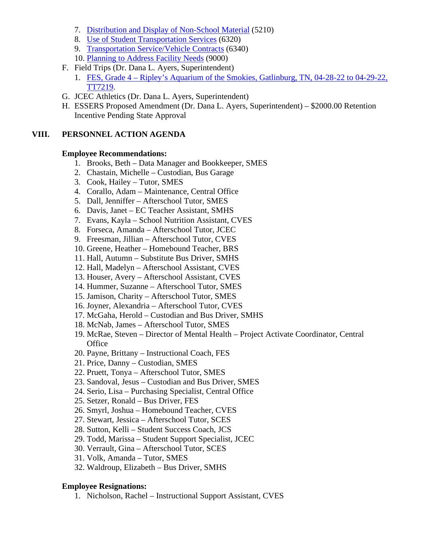- 7. [Distribution and Display of Non-School Material](https://jcpsmail-my.sharepoint.com/:b:/g/personal/cfields_jcpsmail_org/EYPeEuW-xOFAjof5fSZT8DkBqOKws2fznjNy0c3MOZK44g?e=e5cKJ0) (5210)
- 8. [Use of Student Transportation Services](https://jcpsmail-my.sharepoint.com/:b:/g/personal/cfields_jcpsmail_org/EUrK-PsfJ0pArdOM3i8I9P4BEJUq-aqHfQuPUiTthv8Myg?e=OFGYB7) (6320)
- 9. [Transportation Service/Vehicle Contracts](https://jcpsmail-my.sharepoint.com/:b:/g/personal/cfields_jcpsmail_org/EUHw2dzqfktIlOMiD8qz9V0BNtQ_3AE-sM7bzUwsaMVPrQ?e=UwHZEB) (6340)
- 10. [Planning to Address Facility Needs](https://jcpsmail-my.sharepoint.com/:b:/g/personal/cfields_jcpsmail_org/EYoFp9RYeSdJmdKy8OWsHbcB-b32maT6yLRH0VAC3JZ_Qg?e=AU5Bok) (9000)
- F. Field Trips (Dr. Dana L. Ayers, Superintendent)
	- 1. FES, Grade 4 [Ripley's Aquarium of the Smokies, Gatlinburg, TN, 04-28-22 to 04-29-22,](https://jcpsmail-my.sharepoint.com/:b:/g/personal/cfields_jcpsmail_org/EShM2CzNAEhGgI4bZV9IbyABdXFLqH2Td3BJAiIW07TVdw?e=ceaQr7)  [TT7219.](https://jcpsmail-my.sharepoint.com/:b:/g/personal/cfields_jcpsmail_org/EShM2CzNAEhGgI4bZV9IbyABdXFLqH2Td3BJAiIW07TVdw?e=ceaQr7)
- G. JCEC Athletics (Dr. Dana L. Ayers, Superintendent)
- H. ESSERS Proposed Amendment (Dr. Dana L. Ayers, Superintendent) \$2000.00 Retention Incentive Pending State Approval

#### **VIII. PERSONNEL ACTION AGENDA**

#### **Employee Recommendations:**

- 1. Brooks, Beth Data Manager and Bookkeeper, SMES
- 2. Chastain, Michelle Custodian, Bus Garage
- 3. Cook, Hailey Tutor, SMES
- 4. Corallo, Adam Maintenance, Central Office
- 5. Dall, Jenniffer Afterschool Tutor, SMES
- 6. Davis, Janet EC Teacher Assistant, SMHS
- 7. Evans, Kayla School Nutrition Assistant, CVES
- 8. Forseca, Amanda Afterschool Tutor, JCEC
- 9. Freesman, Jillian Afterschool Tutor, CVES
- 10. Greene, Heather Homebound Teacher, BRS
- 11. Hall, Autumn Substitute Bus Driver, SMHS
- 12. Hall, Madelyn Afterschool Assistant, CVES
- 13. Houser, Avery Afterschool Assistant, CVES
- 14. Hummer, Suzanne Afterschool Tutor, SMES
- 15. Jamison, Charity Afterschool Tutor, SMES
- 16. Joyner, Alexandria Afterschool Tutor, CVES
- 17. McGaha, Herold Custodian and Bus Driver, SMHS
- 18. McNab, James Afterschool Tutor, SMES
- 19. McRae, Steven Director of Mental Health Project Activate Coordinator, Central **Office**
- 20. Payne, Brittany Instructional Coach, FES
- 21. Price, Danny Custodian, SMES
- 22. Pruett, Tonya Afterschool Tutor, SMES
- 23. Sandoval, Jesus Custodian and Bus Driver, SMES
- 24. Serio, Lisa Purchasing Specialist, Central Office
- 25. Setzer, Ronald Bus Driver, FES
- 26. Smyrl, Joshua Homebound Teacher, CVES
- 27. Stewart, Jessica Afterschool Tutor, SCES
- 28. Sutton, Kelli Student Success Coach, JCS
- 29. Todd, Marissa Student Support Specialist, JCEC
- 30. Verrault, Gina Afterschool Tutor, SCES
- 31. Volk, Amanda Tutor, SMES
- 32. Waldroup, Elizabeth Bus Driver, SMHS

#### **Employee Resignations:**

1. Nicholson, Rachel – Instructional Support Assistant, CVES